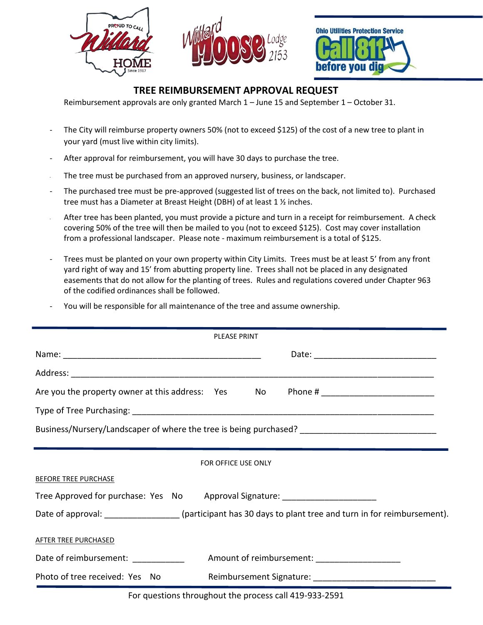





## **TREE REIMBURSEMENT APPROVAL REQUEST**

Reimbursement approvals are only granted March 1 – June 15 and September 1 – October 31.

- The City will reimburse property owners 50% (not to exceed \$125) of the cost of a new tree to plant in your yard (must live within city limits).
- After approval for reimbursement, you will have 30 days to purchase the tree.
- The tree must be purchased from an approved nursery, business, or landscaper.
- The purchased tree must be pre-approved (suggested list of trees on the back, not limited to). Purchased tree must has a Diameter at Breast Height (DBH) of at least 1 ½ inches.
- After tree has been planted, you must provide a picture and turn in a receipt for reimbursement. A check covering 50% of the tree will then be mailed to you (not to exceed \$125). Cost may cover installation from a professional landscaper. Please note - maximum reimbursement is a total of \$125.
- Trees must be planted on your own property within City Limits. Trees must be at least 5' from any front yard right of way and 15' from abutting property line. Trees shall not be placed in any designated easements that do not allow for the planting of trees. Rules and regulations covered under Chapter 963 of the codified ordinances shall be followed.
- You will be responsible for all maintenance of the tree and assume ownership.

| <b>PLEASE PRINT</b>                                                                                       |
|-----------------------------------------------------------------------------------------------------------|
|                                                                                                           |
|                                                                                                           |
| Are you the property owner at this address: Yes No                                                        |
|                                                                                                           |
| Business/Nursery/Landscaper of where the tree is being purchased? _________________________________       |
| FOR OFFICE USE ONLY                                                                                       |
| <b>BEFORE TREE PURCHASE</b>                                                                               |
| Tree Approved for purchase: Yes No Approval Signature: _________________________                          |
| Date of approval: _________________(participant has 30 days to plant tree and turn in for reimbursement). |
| AFTER TREE PURCHASED                                                                                      |
| Date of reimbursement: _____________<br>Amount of reimbursement: _______________________                  |
| Photo of tree received: Yes No                                                                            |